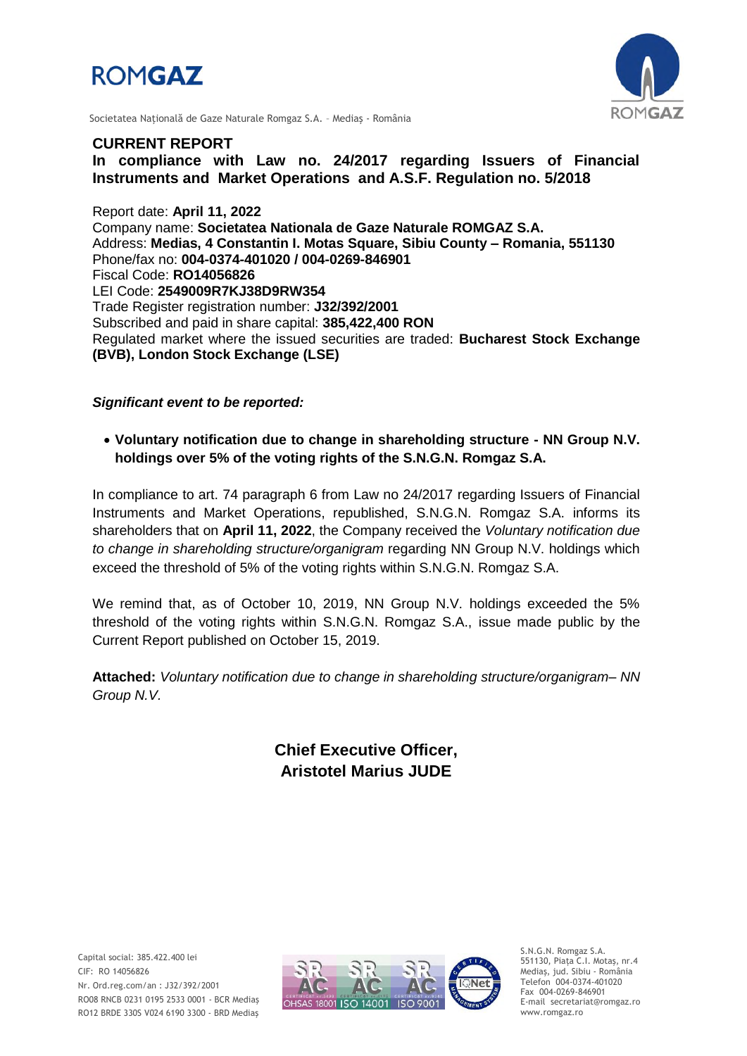



Societatea Naţională de Gaze Naturale Romgaz S.A. – Mediaş - România

## **CURRENT REPORT**

**In compliance with Law no. 24/2017 regarding Issuers of Financial Instruments and Market Operations and A.S.F. Regulation no. 5/2018**

Report date: **April 11, 2022** Company name: **Societatea Nationala de Gaze Naturale ROMGAZ S.A.** Address: **Medias, 4 Constantin I. Motas Square, Sibiu County – Romania, 551130** Phone/fax no: **004-0374-401020 / 004-0269-846901** Fiscal Code: **RO14056826** LEI Code: **2549009R7KJ38D9RW354** Trade Register registration number: **J32/392/2001** Subscribed and paid in share capital: **385,422,400 RON** Regulated market where the issued securities are traded: **Bucharest Stock Exchange (BVB), London Stock Exchange (LSE)**

*Significant event to be reported:*

 **Voluntary notification due to change in shareholding structure - NN Group N.V. holdings over 5% of the voting rights of the S.N.G.N. Romgaz S.A.** 

In compliance to art. 74 paragraph 6 from Law no 24/2017 regarding Issuers of Financial Instruments and Market Operations, republished, S.N.G.N. Romgaz S.A. informs its shareholders that on **April 11, 2022**, the Company received the *Voluntary notification due to change in shareholding structure/organigram* regarding NN Group N.V. holdings which exceed the threshold of 5% of the voting rights within S.N.G.N. Romgaz S.A.

We remind that, as of October 10, 2019, NN Group N.V. holdings exceeded the 5% threshold of the voting rights within S.N.G.N. Romgaz S.A., issue made public by the Current Report published on October 15, 2019.

**Attached:** *Voluntary notification due to change in shareholding structure/organigram– NN Group N.V.*

> **Chief Executive Officer, Aristotel Marius JUDE**



S.N.G.N. Romgaz S.A. 551130, Piața C.I. Motaş, nr.4 Mediaş, jud. Sibiu - România Telefon 004-0374-401020 Fax 004-0269-846901 E-mail secretariat@romgaz.ro www.romgaz.ro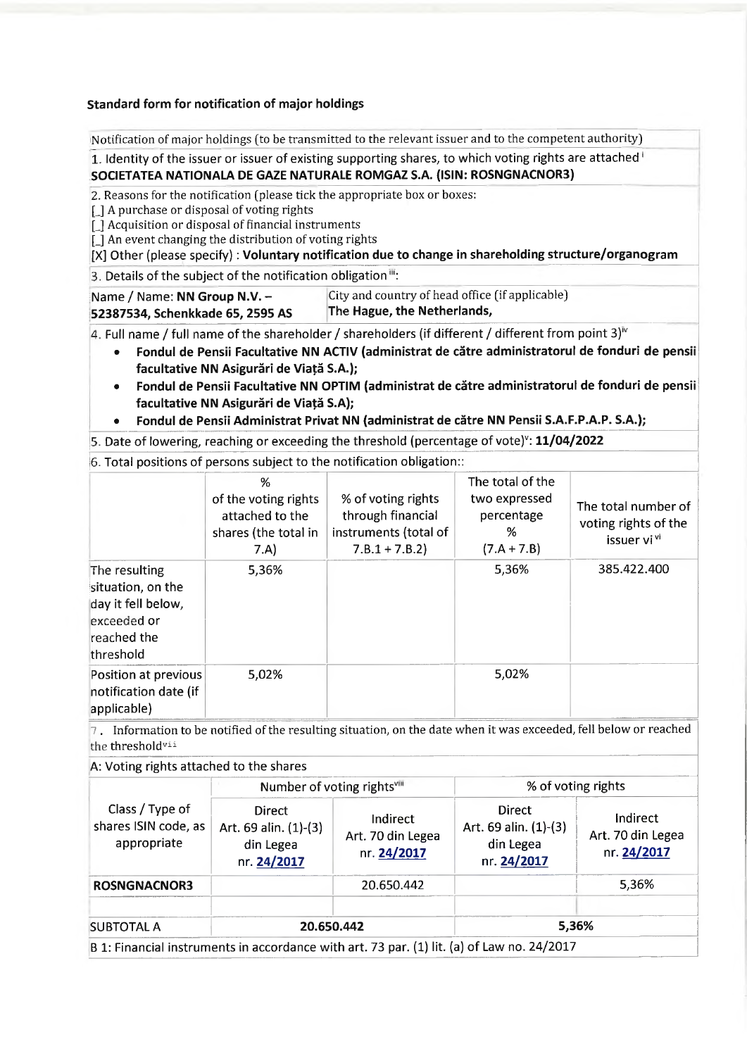## Standard form for notification of major holdings

Notification of major holdings (to be transmitted to the relevant issuer and to the competent authority)

1. Identity of the issuer or issuer of existing supporting shares, to which voting rights are attached i SOCIETATEA NATIONALA DE GAZE NATURALE ROMGAZ S.A. (ISIN: ROSNGNACNOR3)

2. Reasons for the notification (please tick the appropriate box or boxes:

[] A purchase or disposal of voting rights

[] Acquisition or disposal of financial instruments

[] An event changing the distribution of voting rights

[X] Other (please specify): Voluntary notification due to change in shareholding structure/organogram

3. Details of the subject of the notification obligation":

| Name / Name: NN Group N.V. $-$   | City and country of head office (if applicable) |
|----------------------------------|-------------------------------------------------|
| 52387534, Schenkkade 65, 2595 AS | The Hague, the Netherlands,                     |

4. Full name / full name of the shareholder / shareholders (if different / different from point 3)<sup> $v$ </sup>

- Fondul de Pensii Facultative NN ACTIV (administrat de către administratorul de fonduri de pensii facultative NN Asigurări de Viată S.A.);
- · Fondul de Pensii Facultative NN OPTIM (administrat de către administratorul de fonduri de pensii facultative NN Asigurări de Viață S.A);
- Fondul de Pensii Administrat Privat NN (administrat de către NN Pensii S.A.F.P.A.P. S.A.);

5. Date of lowering, reaching or exceeding the threshold (percentage of vote)": 11/04/2022

6. Total positions of persons subject to the notification obligation:

|                                                                                                     | %<br>of the voting rights<br>attached to the<br>shares (the total in<br>7.A) | % of voting rights<br>through financial<br>instruments (total of<br>$7.B.1 + 7.B.2$ | The total of the<br>two expressed<br>percentage<br>%<br>$(7.A + 7.B)$ | The total number of<br>voting rights of the<br>issuer vi <sup>vi</sup> |
|-----------------------------------------------------------------------------------------------------|------------------------------------------------------------------------------|-------------------------------------------------------------------------------------|-----------------------------------------------------------------------|------------------------------------------------------------------------|
| The resulting<br>situation, on the<br>day it fell below,<br>exceeded or<br>reached the<br>threshold | 5,36%                                                                        |                                                                                     | 5,36%                                                                 | 385.422.400                                                            |
| Position at previous<br>notification date (if<br>applicable)                                        | 5,02%                                                                        |                                                                                     | 5,02%                                                                 |                                                                        |

7. Information to be notified of the resulting situation, on the date when it was exceeded, fell below or reached the threshold<sup>vii</sup>

A: Voting rights attached to the shares

|                                                        | Number of voting rightsvill                                        |                                              | % of voting rights                                                 |                                              |
|--------------------------------------------------------|--------------------------------------------------------------------|----------------------------------------------|--------------------------------------------------------------------|----------------------------------------------|
| Class / Type of<br>shares ISIN code, as<br>appropriate | <b>Direct</b><br>Art. 69 alin. (1)-(3)<br>din Legea<br>nr. 24/2017 | Indirect<br>Art. 70 din Legea<br>nr. 24/2017 | <b>Direct</b><br>Art. 69 alin. (1)-(3)<br>din Legea<br>nr. 24/2017 | Indirect<br>Art. 70 din Legea<br>nr. 24/2017 |
| <b>ROSNGNACNOR3</b>                                    |                                                                    | 20.650.442                                   |                                                                    | 5,36%                                        |
| <b>SUBTOTAL A</b>                                      | 20.650.442                                                         |                                              |                                                                    | 5,36%                                        |

B 1: Financial instruments in accordance with art. 73 par. (1) iit. (a) or Law no.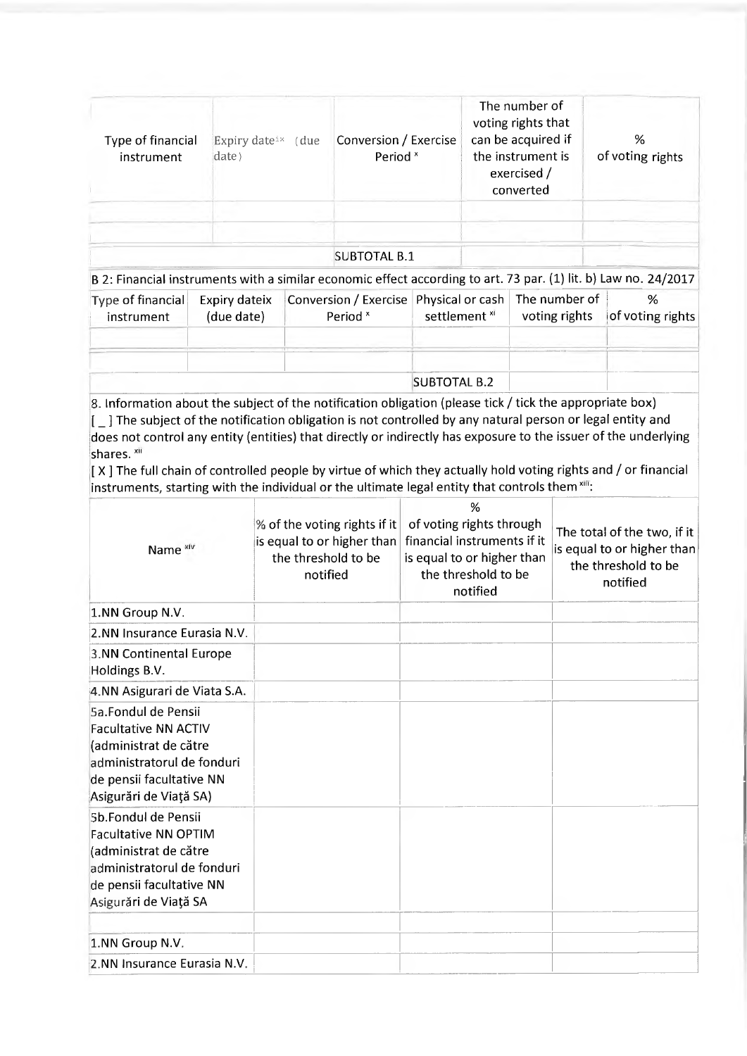| Type of financial<br>instrument | Expiry date <sup>ix</sup> (due<br>date) | Conversion / Exercise<br>Period <sup>x</sup> | The number of<br>voting rights that<br>can be acquired if<br>the instrument is<br>exercised /<br>converted | %<br>of voting rights |
|---------------------------------|-----------------------------------------|----------------------------------------------|------------------------------------------------------------------------------------------------------------|-----------------------|
|                                 |                                         | <b>SUBTOTAL B.1</b>                          |                                                                                                            |                       |

B 2: Financial instruments with a similar economic effect according to art. 73 par. (1) lit. b) Law no. 24/2017

| $ Type\ of\ financial $<br>instrument | Expiry dateix<br>(due date) | Conversion / Exercise   Physical or cash   The number of<br>Period <sup>x</sup> | settlement <sup>xi</sup> | voting rights | %<br>$ $ of voting rights |
|---------------------------------------|-----------------------------|---------------------------------------------------------------------------------|--------------------------|---------------|---------------------------|
|                                       |                             |                                                                                 | <b>SUBTOTAL B.2</b>      |               |                           |

8. Information about the subject of the notification obligation (please tick / tick the appropriate box)  $\left[\begin{smallmatrix}1\end{smallmatrix}\right]$  The subject of the notification obligation is not controlled by any natural person or legal entity and does not control any entity (entities) that directly or indirectly has exposure to the issuer of the underlying shares. xii

 $\left[ \right]$  X ] The full chain of controlled people by virtue of which they actually hold voting rights and / or financial instruments, starting with the individual or the ultimate legal entity that controls them xIII:

| Name <sup>xiv</sup>                                                                                                                                             | % of the voting rights if it<br>is equal to or higher than<br>the threshold to be<br>notified | %<br>of voting rights through<br>financial instruments if it<br>is equal to or higher than<br>the threshold to be<br>notified | The total of the two, if it<br>is equal to or higher than<br>the threshold to be<br>notified |
|-----------------------------------------------------------------------------------------------------------------------------------------------------------------|-----------------------------------------------------------------------------------------------|-------------------------------------------------------------------------------------------------------------------------------|----------------------------------------------------------------------------------------------|
| 1.NN Group N.V.                                                                                                                                                 |                                                                                               |                                                                                                                               |                                                                                              |
| 2.NN Insurance Eurasia N.V.                                                                                                                                     |                                                                                               |                                                                                                                               |                                                                                              |
| 3.NN Continental Europe<br>Holdings B.V.                                                                                                                        |                                                                                               |                                                                                                                               |                                                                                              |
| 4.NN Asigurari de Viata S.A.                                                                                                                                    |                                                                                               |                                                                                                                               |                                                                                              |
| 5a.Fondul de Pensii<br><b>Facultative NN ACTIV</b><br>(administrat de către<br>administratorul de fonduri<br>de pensii facultative NN<br>Asigurări de Viață SA) |                                                                                               |                                                                                                                               |                                                                                              |
| 5b.Fondul de Pensii<br><b>Facultative NN OPTIM</b><br>(administrat de către<br>administratorul de fonduri<br>de pensii facultative NN<br>Asigurări de Viață SA  |                                                                                               |                                                                                                                               |                                                                                              |
| 1.NN Group N.V.                                                                                                                                                 |                                                                                               |                                                                                                                               |                                                                                              |
| 2.NN Insurance Eurasia N.V.                                                                                                                                     |                                                                                               |                                                                                                                               |                                                                                              |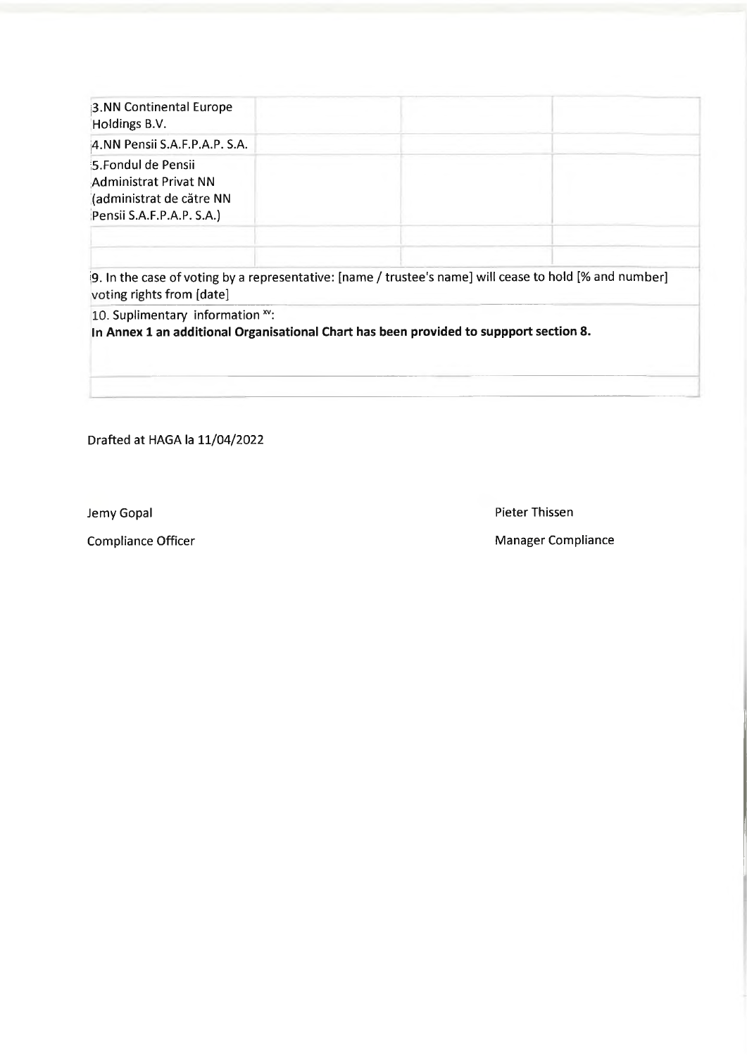| 3.NN Continental Europe<br>Holdings B.V.                                                              |  |
|-------------------------------------------------------------------------------------------------------|--|
| 4.NN Pensii S.A.F.P.A.P. S.A.                                                                         |  |
| 5. Fondul de Pensii<br>Administrat Privat NN<br>(administrat de către NN<br>Pensii S.A.F.P.A.P. S.A.) |  |
|                                                                                                       |  |

[9. In the case of voting by a representative: [name / trustee's name] will cease to hold [% and number] voting rights from [date]

10. Suplimentary information xv:

In Annex 1 an additional Organisational Chart has been provided to suppport section 8.

Drafted at HAGA la 11/04/2022

Jemy Gopal

**Compliance Officer** 

**Pieter Thissen** 

**Manager Compliance**